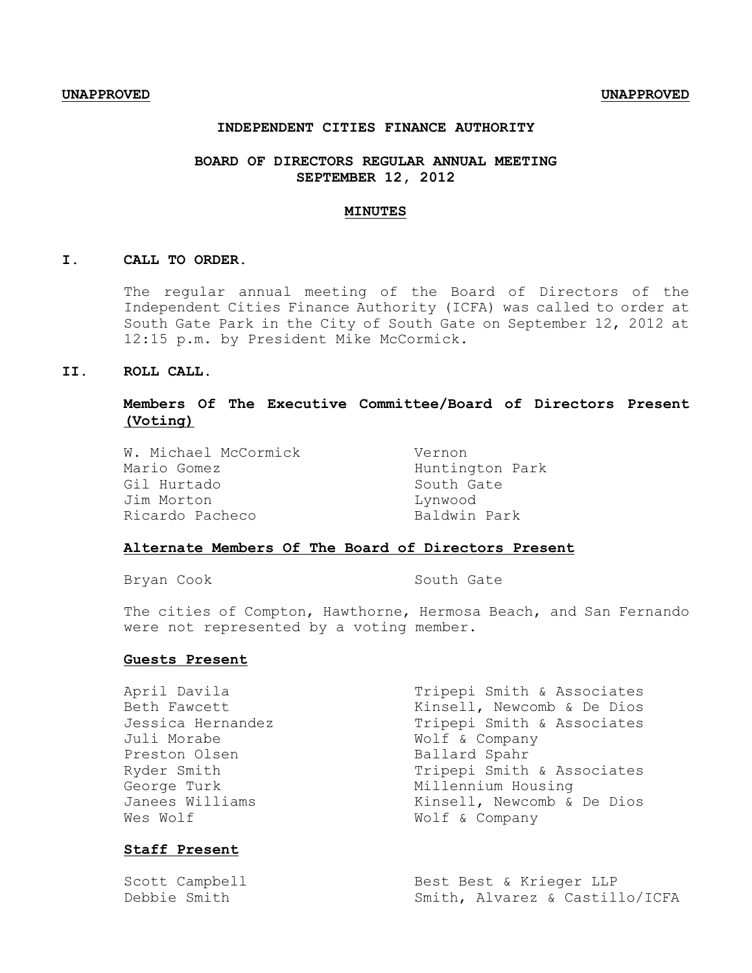### **INDEPENDENT CITIES FINANCE AUTHORITY**

## **BOARD OF DIRECTORS REGULAR ANNUAL MEETING SEPTEMBER 12, 2012**

#### **MINUTES**

### **I. CALL TO ORDER.**

The regular annual meeting of the Board of Directors of the Independent Cities Finance Authority (ICFA) was called to order at South Gate Park in the City of South Gate on September 12, 2012 at 12:15 p.m. by President Mike McCormick.

# **II. ROLL CALL.**

## **Members Of The Executive Committee/Board of Directors Present (Voting)**

W. Michael McCormick Vernon Mario Gomez **Huntington Park** Gil Hurtado South Gate Jim Morton Lynwood Ricardo Pacheco Baldwin Park

### **Alternate Members Of The Board of Directors Present**

Bryan Cook South Gate

The cities of Compton, Hawthorne, Hermosa Beach, and San Fernando were not represented by a voting member.

### **Guests Present**

| April Davila      | Tripepi Smith & Associates |
|-------------------|----------------------------|
| Beth Fawcett      | Kinsell, Newcomb & De Dios |
| Jessica Hernandez | Tripepi Smith & Associates |
| Juli Morabe       | Wolf & Company             |
| Preston Olsen     | Ballard Spahr              |
| Ryder Smith       | Tripepi Smith & Associates |
| George Turk       | Millennium Housing         |
| Janees Williams   | Kinsell, Newcomb & De Dios |
| Wes Wolf          | Wolf & Company             |
|                   |                            |

## **Staff Present**

| Scott Campbell | Best Best & Krieger LLP        |
|----------------|--------------------------------|
| Debbie Smith   | Smith, Alvarez & Castillo/ICFA |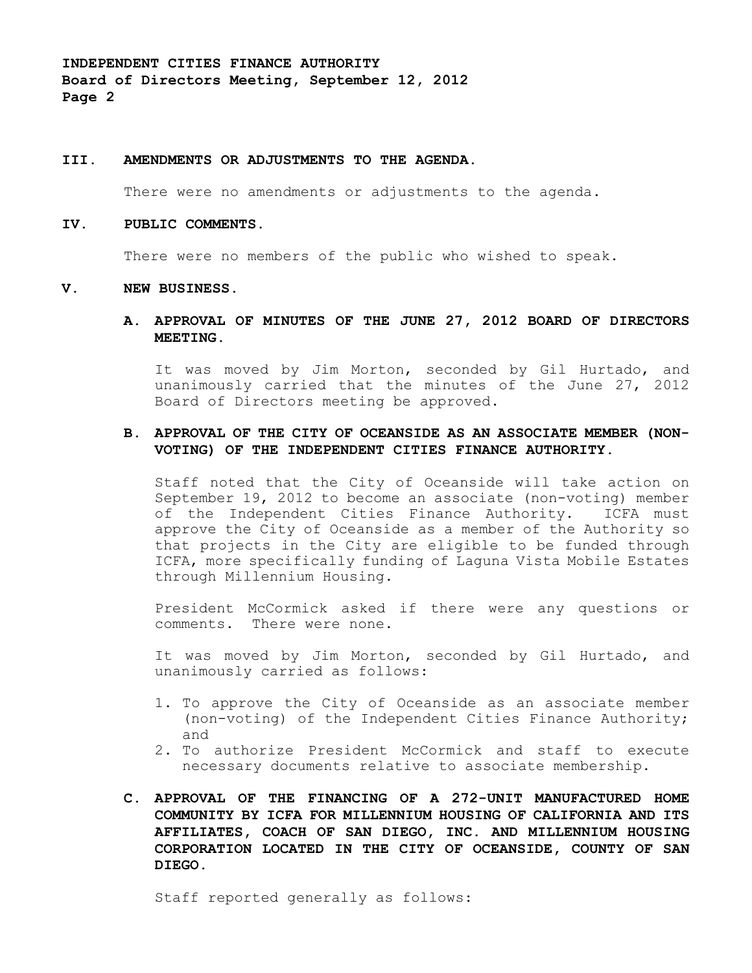#### **III. AMENDMENTS OR ADJUSTMENTS TO THE AGENDA**.

There were no amendments or adjustments to the agenda.

#### **IV. PUBLIC COMMENTS.**

There were no members of the public who wished to speak.

#### **V. NEW BUSINESS.**

**A. APPROVAL OF MINUTES OF THE JUNE 27, 2012 BOARD OF DIRECTORS MEETING.**

It was moved by Jim Morton, seconded by Gil Hurtado, and unanimously carried that the minutes of the June 27, 2012 Board of Directors meeting be approved.

# **B. APPROVAL OF THE CITY OF OCEANSIDE AS AN ASSOCIATE MEMBER (NON-VOTING) OF THE INDEPENDENT CITIES FINANCE AUTHORITY.**

Staff noted that the City of Oceanside will take action on September 19, 2012 to become an associate (non-voting) member of the Independent Cities Finance Authority. ICFA must approve the City of Oceanside as a member of the Authority so that projects in the City are eligible to be funded through ICFA, more specifically funding of Laguna Vista Mobile Estates through Millennium Housing.

President McCormick asked if there were any questions or comments. There were none.

It was moved by Jim Morton, seconded by Gil Hurtado, and unanimously carried as follows:

- 1. To approve the City of Oceanside as an associate member (non-voting) of the Independent Cities Finance Authority; and
- 2. To authorize President McCormick and staff to execute necessary documents relative to associate membership.
- **C. APPROVAL OF THE FINANCING OF A 272-UNIT MANUFACTURED HOME COMMUNITY BY ICFA FOR MILLENNIUM HOUSING OF CALIFORNIA AND ITS AFFILIATES, COACH OF SAN DIEGO, INC. AND MILLENNIUM HOUSING CORPORATION LOCATED IN THE CITY OF OCEANSIDE, COUNTY OF SAN DIEGO.**

Staff reported generally as follows: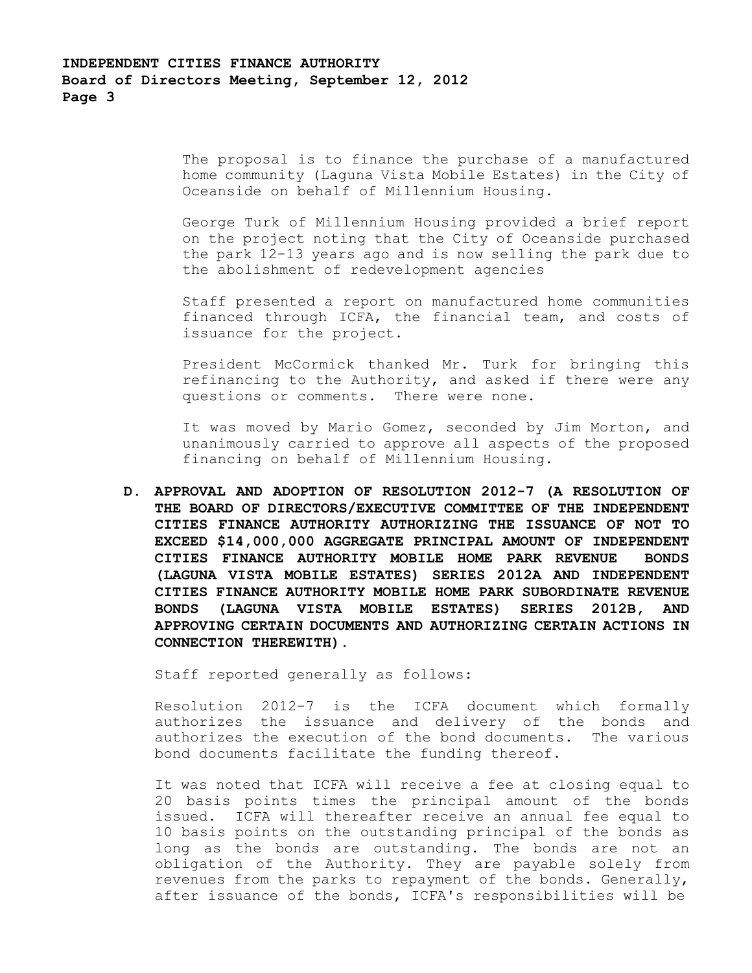The proposal is to finance the purchase of a manufactured home community (Laguna Vista Mobile Estates) in the City of Oceanside on behalf of Millennium Housing.

George Turk of Millennium Housing provided a brief report on the project noting that the City of Oceanside purchased the park 12-13 years ago and is now selling the park due to the abolishment of redevelopment agencies

Staff presented a report on manufactured home communities financed through ICFA, the financial team, and costs of issuance for the project.

President McCormick thanked Mr. Turk for bringing this refinancing to the Authority, and asked if there were any questions or comments. There were none.

It was moved by Mario Gomez, seconded by Jim Morton, and unanimously carried to approve all aspects of the proposed financing on behalf of Millennium Housing.

**D. APPROVAL AND ADOPTION OF RESOLUTION 2012-7 (A RESOLUTION OF THE BOARD OF DIRECTORS/EXECUTIVE COMMITTEE OF THE INDEPENDENT CITIES FINANCE AUTHORITY AUTHORIZING THE ISSUANCE OF NOT TO EXCEED \$14,000,000 AGGREGATE PRINCIPAL AMOUNT OF INDEPENDENT CITIES FINANCE AUTHORITY MOBILE HOME PARK REVENUE BONDS (LAGUNA VISTA MOBILE ESTATES) SERIES 2012A AND INDEPENDENT CITIES FINANCE AUTHORITY MOBILE HOME PARK SUBORDINATE REVENUE BONDS (LAGUNA VISTA MOBILE ESTATES) SERIES 2012B, AND APPROVING CERTAIN DOCUMENTS AND AUTHORIZING CERTAIN ACTIONS IN CONNECTION THEREWITH).**

Staff reported generally as follows:

Resolution 2012-7 is the ICFA document which formally authorizes the issuance and delivery of the bonds and authorizes the execution of the bond documents. The various bond documents facilitate the funding thereof.

It was noted that ICFA will receive a fee at closing equal to 20 basis points times the principal amount of the bonds issued. ICFA will thereafter receive an annual fee equal to 10 basis points on the outstanding principal of the bonds as long as the bonds are outstanding. The bonds are not an obligation of the Authority. They are payable solely from revenues from the parks to repayment of the bonds. Generally, after issuance of the bonds, ICFA's responsibilities will be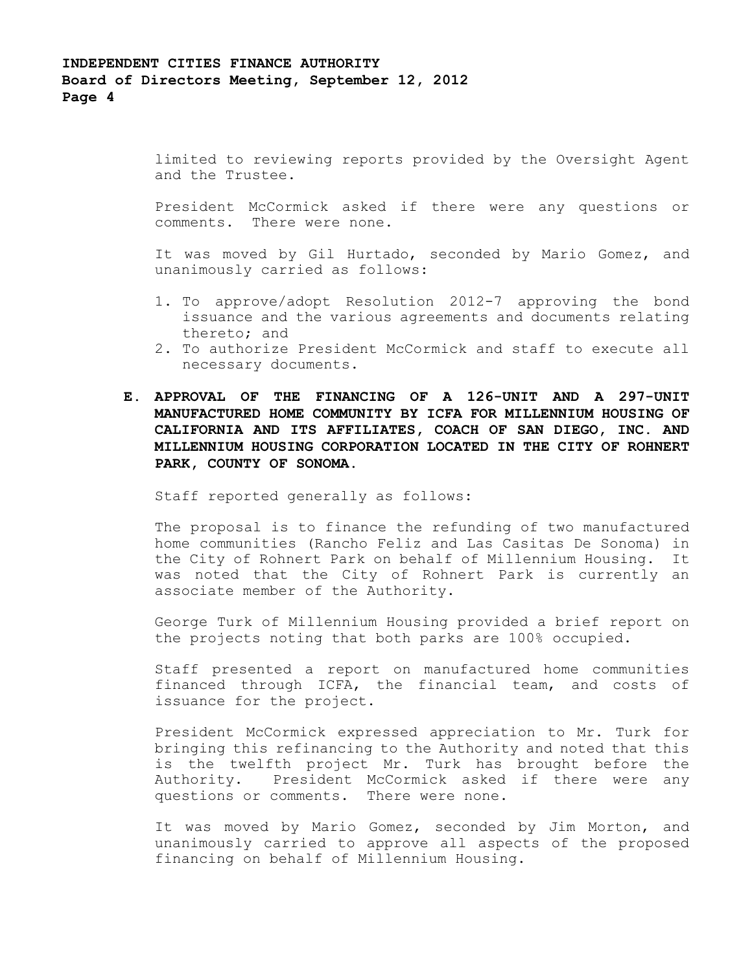limited to reviewing reports provided by the Oversight Agent and the Trustee.

President McCormick asked if there were any questions or comments. There were none.

It was moved by Gil Hurtado, seconded by Mario Gomez, and unanimously carried as follows:

- 1. To approve/adopt Resolution 2012-7 approving the bond issuance and the various agreements and documents relating thereto; and
- 2. To authorize President McCormick and staff to execute all necessary documents.
- **E. APPROVAL OF THE FINANCING OF A 126-UNIT AND A 297-UNIT MANUFACTURED HOME COMMUNITY BY ICFA FOR MILLENNIUM HOUSING OF CALIFORNIA AND ITS AFFILIATES, COACH OF SAN DIEGO, INC. AND MILLENNIUM HOUSING CORPORATION LOCATED IN THE CITY OF ROHNERT PARK, COUNTY OF SONOMA.**

Staff reported generally as follows:

The proposal is to finance the refunding of two manufactured home communities (Rancho Feliz and Las Casitas De Sonoma) in the City of Rohnert Park on behalf of Millennium Housing. It was noted that the City of Rohnert Park is currently an associate member of the Authority.

George Turk of Millennium Housing provided a brief report on the projects noting that both parks are 100% occupied.

Staff presented a report on manufactured home communities financed through ICFA, the financial team, and costs of issuance for the project.

President McCormick expressed appreciation to Mr. Turk for bringing this refinancing to the Authority and noted that this is the twelfth project Mr. Turk has brought before the Authority. President McCormick asked if there were any questions or comments. There were none.

It was moved by Mario Gomez, seconded by Jim Morton, and unanimously carried to approve all aspects of the proposed financing on behalf of Millennium Housing.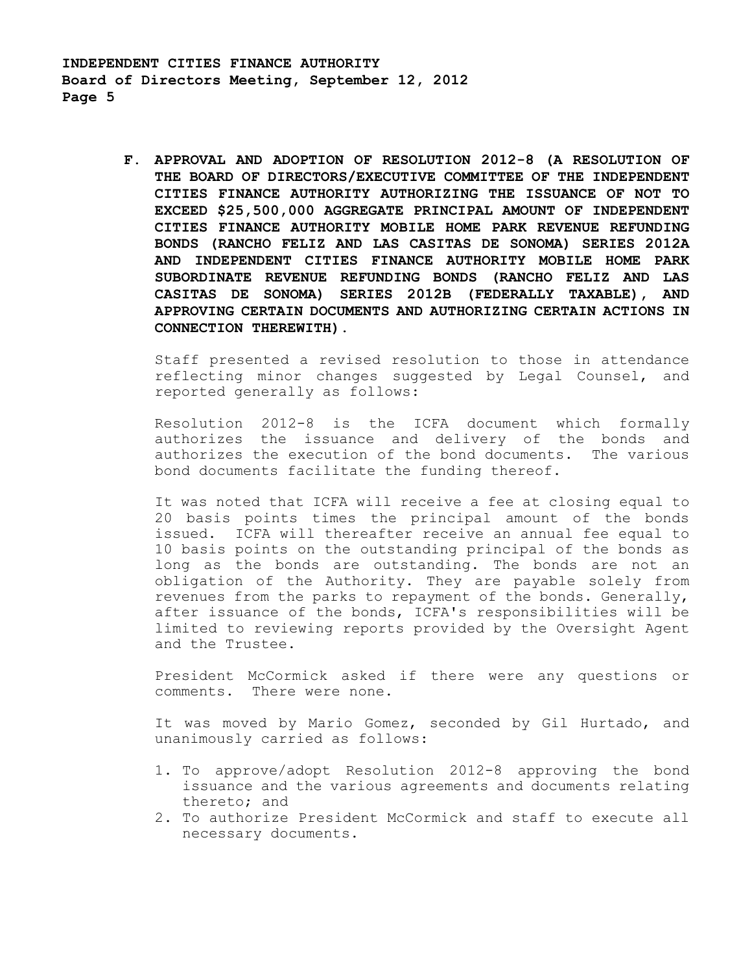> **F. APPROVAL AND ADOPTION OF RESOLUTION 2012-8 (A RESOLUTION OF THE BOARD OF DIRECTORS/EXECUTIVE COMMITTEE OF THE INDEPENDENT CITIES FINANCE AUTHORITY AUTHORIZING THE ISSUANCE OF NOT TO EXCEED \$25,500,000 AGGREGATE PRINCIPAL AMOUNT OF INDEPENDENT CITIES FINANCE AUTHORITY MOBILE HOME PARK REVENUE REFUNDING BONDS (RANCHO FELIZ AND LAS CASITAS DE SONOMA) SERIES 2012A AND INDEPENDENT CITIES FINANCE AUTHORITY MOBILE HOME PARK SUBORDINATE REVENUE REFUNDING BONDS (RANCHO FELIZ AND LAS CASITAS DE SONOMA) SERIES 2012B (FEDERALLY TAXABLE), AND APPROVING CERTAIN DOCUMENTS AND AUTHORIZING CERTAIN ACTIONS IN CONNECTION THEREWITH).**

Staff presented a revised resolution to those in attendance reflecting minor changes suggested by Legal Counsel, and reported generally as follows:

Resolution 2012-8 is the ICFA document which formally authorizes the issuance and delivery of the bonds and authorizes the execution of the bond documents. The various bond documents facilitate the funding thereof.

It was noted that ICFA will receive a fee at closing equal to 20 basis points times the principal amount of the bonds issued. ICFA will thereafter receive an annual fee equal to 10 basis points on the outstanding principal of the bonds as long as the bonds are outstanding. The bonds are not an obligation of the Authority. They are payable solely from revenues from the parks to repayment of the bonds. Generally, after issuance of the bonds, ICFA's responsibilities will be limited to reviewing reports provided by the Oversight Agent and the Trustee.

President McCormick asked if there were any questions or comments. There were none.

It was moved by Mario Gomez, seconded by Gil Hurtado, and unanimously carried as follows:

- 1. To approve/adopt Resolution 2012-8 approving the bond issuance and the various agreements and documents relating thereto; and
- 2. To authorize President McCormick and staff to execute all necessary documents.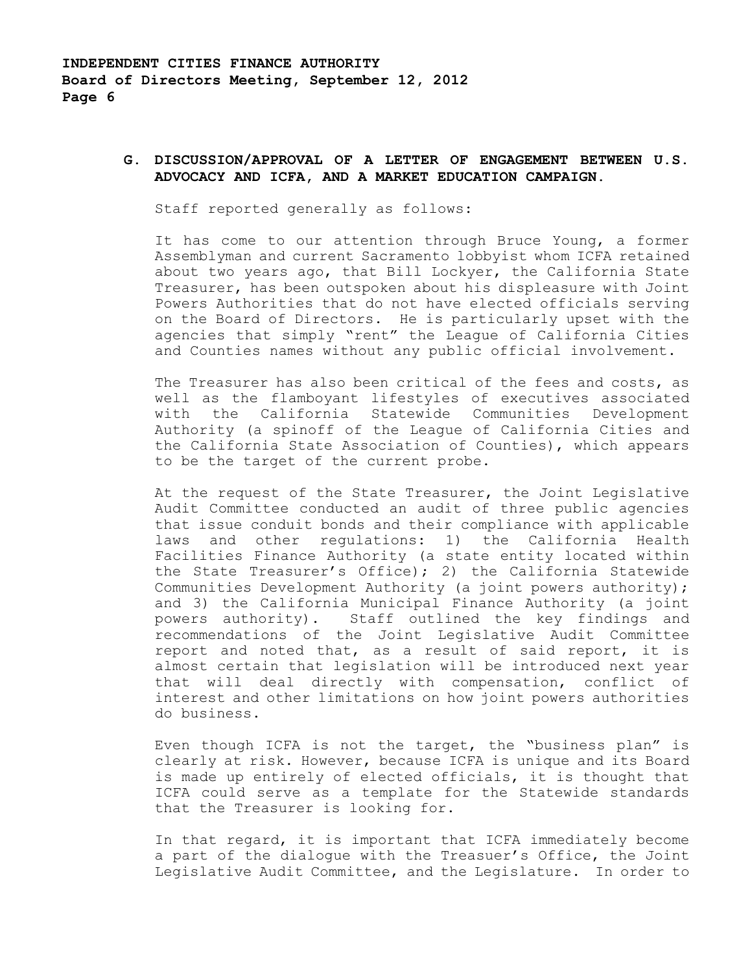# **G. DISCUSSION/APPROVAL OF A LETTER OF ENGAGEMENT BETWEEN U.S. ADVOCACY AND ICFA, AND A MARKET EDUCATION CAMPAIGN.**

Staff reported generally as follows:

It has come to our attention through Bruce Young, a former Assemblyman and current Sacramento lobbyist whom ICFA retained about two years ago, that Bill Lockyer, the California State Treasurer, has been outspoken about his displeasure with Joint Powers Authorities that do not have elected officials serving on the Board of Directors. He is particularly upset with the agencies that simply "rent" the League of California Cities and Counties names without any public official involvement.

The Treasurer has also been critical of the fees and costs, as well as the flamboyant lifestyles of executives associated with the California Statewide Communities Development Authority (a spinoff of the League of California Cities and the California State Association of Counties), which appears to be the target of the current probe.

At the request of the State Treasurer, the Joint Legislative Audit Committee conducted an audit of three public agencies that issue conduit bonds and their compliance with applicable laws and other regulations: 1) the California Health Facilities Finance Authority (a state entity located within the State Treasurer's Office); 2) the California Statewide Communities Development Authority (a joint powers authority); and 3) the California Municipal Finance Authority (a joint powers authority). Staff outlined the key findings and recommendations of the Joint Legislative Audit Committee report and noted that, as a result of said report, it is almost certain that legislation will be introduced next year that will deal directly with compensation, conflict of interest and other limitations on how joint powers authorities do business.

Even though ICFA is not the target, the "business plan" is clearly at risk. However, because ICFA is unique and its Board is made up entirely of elected officials, it is thought that ICFA could serve as a template for the Statewide standards that the Treasurer is looking for.

In that regard, it is important that ICFA immediately become a part of the dialogue with the Treasuer's Office, the Joint Legislative Audit Committee, and the Legislature. In order to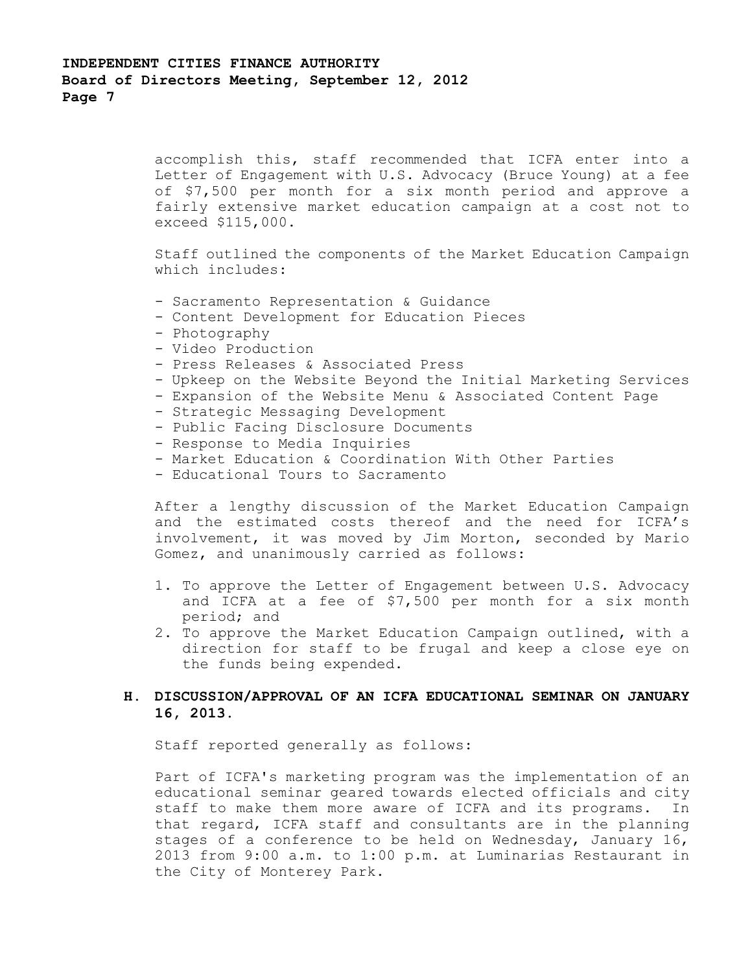accomplish this, staff recommended that ICFA enter into a Letter of Engagement with U.S. Advocacy (Bruce Young) at a fee of \$7,500 per month for a six month period and approve a fairly extensive market education campaign at a cost not to exceed \$115,000.

Staff outlined the components of the Market Education Campaign which includes:

- Sacramento Representation & Guidance
- Content Development for Education Pieces
- Photography
- Video Production
- Press Releases & Associated Press
- Upkeep on the Website Beyond the Initial Marketing Services
- Expansion of the Website Menu & Associated Content Page
- Strategic Messaging Development
- Public Facing Disclosure Documents
- Response to Media Inquiries
- Market Education & Coordination With Other Parties
- Educational Tours to Sacramento

After a lengthy discussion of the Market Education Campaign and the estimated costs thereof and the need for ICFA's involvement, it was moved by Jim Morton, seconded by Mario Gomez, and unanimously carried as follows:

- 1. To approve the Letter of Engagement between U.S. Advocacy and ICFA at a fee of \$7,500 per month for a six month period; and
- 2. To approve the Market Education Campaign outlined, with a direction for staff to be frugal and keep a close eye on the funds being expended.

# **H. DISCUSSION/APPROVAL OF AN ICFA EDUCATIONAL SEMINAR ON JANUARY 16, 2013.**

Staff reported generally as follows:

Part of ICFA's marketing program was the implementation of an educational seminar geared towards elected officials and city staff to make them more aware of ICFA and its programs. In that regard, ICFA staff and consultants are in the planning stages of a conference to be held on Wednesday, January 16, 2013 from 9:00 a.m. to 1:00 p.m. at Luminarias Restaurant in the City of Monterey Park.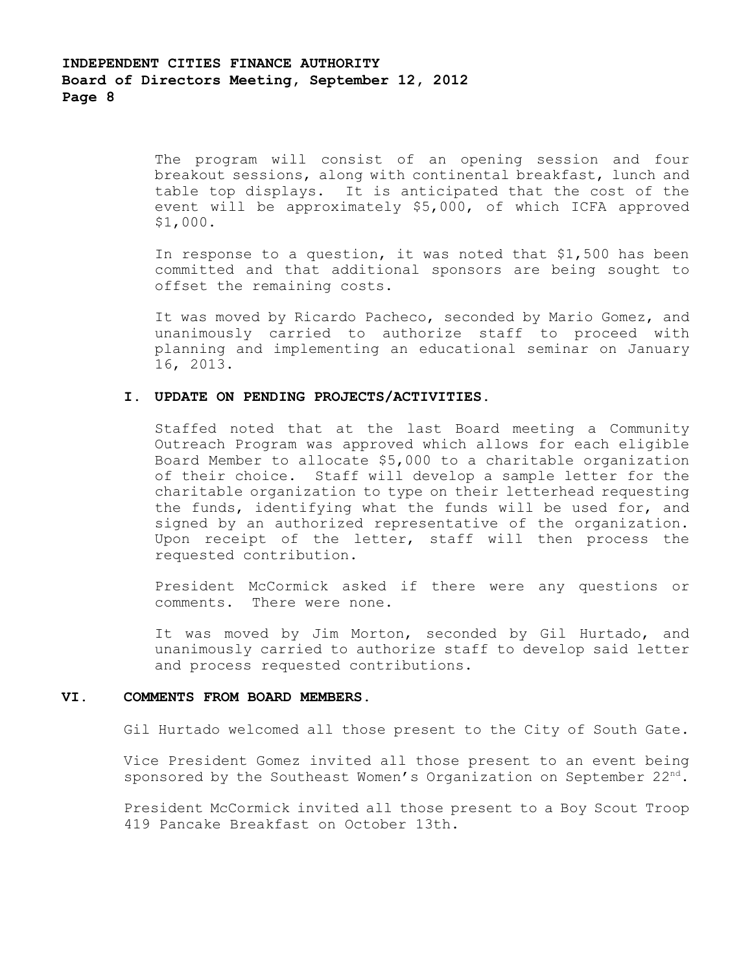The program will consist of an opening session and four breakout sessions, along with continental breakfast, lunch and table top displays. It is anticipated that the cost of the event will be approximately \$5,000, of which ICFA approved \$1,000.

 In response to a question, it was noted that \$1,500 has been committed and that additional sponsors are being sought to offset the remaining costs.

It was moved by Ricardo Pacheco, seconded by Mario Gomez, and unanimously carried to authorize staff to proceed with planning and implementing an educational seminar on January 16, 2013.

### **I. UPDATE ON PENDING PROJECTS/ACTIVITIES.**

Staffed noted that at the last Board meeting a Community Outreach Program was approved which allows for each eligible Board Member to allocate \$5,000 to a charitable organization of their choice. Staff will develop a sample letter for the charitable organization to type on their letterhead requesting the funds, identifying what the funds will be used for, and signed by an authorized representative of the organization. Upon receipt of the letter, staff will then process the requested contribution.

President McCormick asked if there were any questions or comments. There were none.

It was moved by Jim Morton, seconded by Gil Hurtado, and unanimously carried to authorize staff to develop said letter and process requested contributions.

#### **VI. COMMENTS FROM BOARD MEMBERS.**

Gil Hurtado welcomed all those present to the City of South Gate.

Vice President Gomez invited all those present to an event being sponsored by the Southeast Women's Organization on September  $22^{nd}$ .

President McCormick invited all those present to a Boy Scout Troop 419 Pancake Breakfast on October 13th.